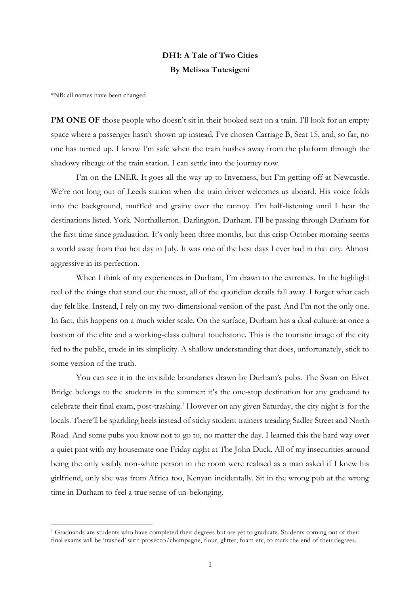## **DH1: A Tale of Two Cities By Melissa Tutesigeni**

\*NB: all names have been changed

**I'M ONE OF** those people who doesn't sit in their booked seat on a train. I'll look for an empty space where a passenger hasn't shown up instead. I've chosen Carriage B, Seat 15, and, so far, no one has turned up. I know I'm safe when the train hushes away from the platform through the shadowy ribcage of the train station. I can settle into the journey now.

I'm on the LNER. It goes all the way up to Inverness, but I'm getting off at Newcastle. We're not long out of Leeds station when the train driver welcomes us aboard. His voice folds into the background, muffled and grainy over the tannoy. I'm half-listening until I hear the destinations listed. York. Northallerton. Darlington. Durham. I'll be passing through Durham for the first time since graduation. It's only been three months, but this crisp October morning seems a world away from that hot day in July. It was one of the best days I ever had in that city. Almost aggressive in its perfection.

When I think of my experiences in Durham, I'm drawn to the extremes. In the highlight reel of the things that stand out the most, all of the quotidian details fall away. I forget what each day felt like. Instead, I rely on my two-dimensional version of the past. And I'm not the only one. In fact, this happens on a much wider scale. On the surface, Durham has a dual culture: at once a bastion of the elite and a working-class cultural touchstone. This is the touristic image of the city fed to the public, crude in its simplicity. A shallow understanding that does, unfortunately, stick to some version of the truth.

You can see it in the invisible boundaries drawn by Durham's pubs. The Swan on Elvet Bridge belongs to the students in the summer: it's the one-stop destination for any graduand to celebrate their final exam, post-trashing.<sup>1</sup> However on any given Saturday, the city night is for the locals. There'll be sparkling heels instead of sticky student trainers treading Sadler Street and North Road. And some pubs you know not to go to, no matter the day. I learned this the hard way over a quiet pint with my housemate one Friday night at The John Duck. All of my insecurities around being the only visibly non-white person in the room were realised as a man asked if I knew his girlfriend, only she was from Africa too, Kenyan incidentally. Sit in the wrong pub at the wrong time in Durham to feel a true sense of un-belonging.

<sup>1</sup> Graduands are students who have completed their degrees but are yet to graduate. Students coming out of their final exams will be 'trashed' with prosecco/champagne, flour, glitter, foam etc, to mark the end of their degrees.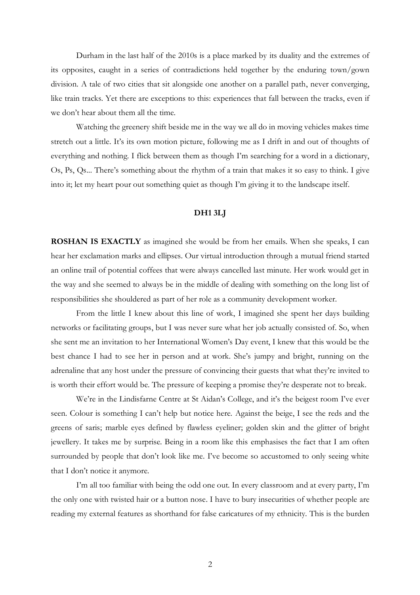Durham in the last half of the 2010s is a place marked by its duality and the extremes of its opposites, caught in a series of contradictions held together by the enduring town/gown division. A tale of two cities that sit alongside one another on a parallel path, never converging, like train tracks. Yet there are exceptions to this: experiences that fall between the tracks, even if we don't hear about them all the time.

Watching the greenery shift beside me in the way we all do in moving vehicles makes time stretch out a little. It's its own motion picture, following me as I drift in and out of thoughts of everything and nothing. I flick between them as though I'm searching for a word in a dictionary, Os, Ps, Qs... There's something about the rhythm of a train that makes it so easy to think. I give into it; let my heart pour out something quiet as though I'm giving it to the landscape itself.

## **DH1 3LJ**

**ROSHAN IS EXACTLY** as imagined she would be from her emails. When she speaks, I can hear her exclamation marks and ellipses. Our virtual introduction through a mutual friend started an online trail of potential coffees that were always cancelled last minute. Her work would get in the way and she seemed to always be in the middle of dealing with something on the long list of responsibilities she shouldered as part of her role as a community development worker.

From the little I knew about this line of work, I imagined she spent her days building networks or facilitating groups, but I was never sure what her job actually consisted of. So, when she sent me an invitation to her International Women's Day event, I knew that this would be the best chance I had to see her in person and at work. She's jumpy and bright, running on the adrenaline that any host under the pressure of convincing their guests that what they're invited to is worth their effort would be. The pressure of keeping a promise they're desperate not to break.

We're in the Lindisfarne Centre at St Aidan's College, and it's the beigest room I've ever seen. Colour is something I can't help but notice here. Against the beige, I see the reds and the greens of saris; marble eyes defined by flawless eyeliner; golden skin and the glitter of bright jewellery. It takes me by surprise. Being in a room like this emphasises the fact that I am often surrounded by people that don't look like me. I've become so accustomed to only seeing white that I don't notice it anymore.

I'm all too familiar with being the odd one out. In every classroom and at every party, I'm the only one with twisted hair or a button nose. I have to bury insecurities of whether people are reading my external features as shorthand for false caricatures of my ethnicity. This is the burden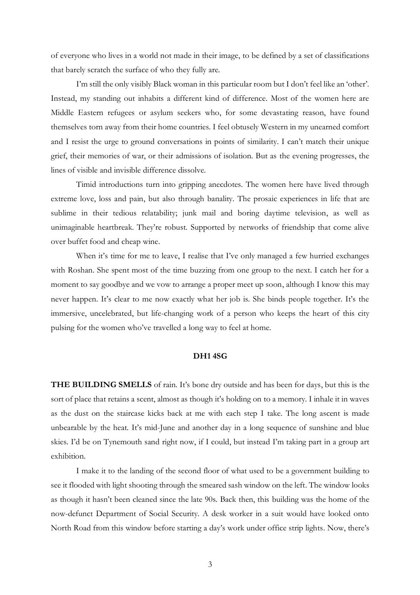of everyone who lives in a world not made in their image, to be defined by a set of classifications that barely scratch the surface of who they fully are.

I'm still the only visibly Black woman in this particular room but I don't feel like an 'other'. Instead, my standing out inhabits a different kind of difference. Most of the women here are Middle Eastern refugees or asylum seekers who, for some devastating reason, have found themselves torn away from their home countries. I feel obtusely Western in my unearned comfort and I resist the urge to ground conversations in points of similarity. I can't match their unique grief, their memories of war, or their admissions of isolation. But as the evening progresses, the lines of visible and invisible difference dissolve.

Timid introductions turn into gripping anecdotes. The women here have lived through extreme love, loss and pain, but also through banality. The prosaic experiences in life that are sublime in their tedious relatability; junk mail and boring daytime television, as well as unimaginable heartbreak. They're robust. Supported by networks of friendship that come alive over buffet food and cheap wine.

When it's time for me to leave, I realise that I've only managed a few hurried exchanges with Roshan. She spent most of the time buzzing from one group to the next. I catch her for a moment to say goodbye and we vow to arrange a proper meet up soon, although I know this may never happen. It's clear to me now exactly what her job is. She binds people together. It's the immersive, uncelebrated, but life-changing work of a person who keeps the heart of this city pulsing for the women who've travelled a long way to feel at home.

## **DH1 4SG**

**THE BUILDING SMELLS** of rain. It's bone dry outside and has been for days, but this is the sort of place that retains a scent, almost as though it's holding on to a memory. I inhale it in waves as the dust on the staircase kicks back at me with each step I take. The long ascent is made unbearable by the heat. It's mid-June and another day in a long sequence of sunshine and blue skies. I'd be on Tynemouth sand right now, if I could, but instead I'm taking part in a group art exhibition.

I make it to the landing of the second floor of what used to be a government building to see it flooded with light shooting through the smeared sash window on the left. The window looks as though it hasn't been cleaned since the late 90s. Back then, this building was the home of the now-defunct Department of Social Security. A desk worker in a suit would have looked onto North Road from this window before starting a day's work under office strip lights. Now, there's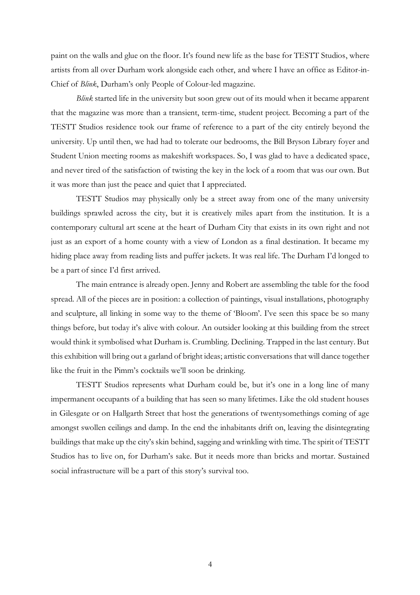paint on the walls and glue on the floor. It's found new life as the base for TESTT Studios, where artists from all over Durham work alongside each other, and where I have an office as Editor-in-Chief of *Blink*, Durham's only People of Colour-led magazine.

*Blink* started life in the university but soon grew out of its mould when it became apparent that the magazine was more than a transient, term-time, student project. Becoming a part of the TESTT Studios residence took our frame of reference to a part of the city entirely beyond the university. Up until then, we had had to tolerate our bedrooms, the Bill Bryson Library foyer and Student Union meeting rooms as makeshift workspaces. So, I was glad to have a dedicated space, and never tired of the satisfaction of twisting the key in the lock of a room that was our own. But it was more than just the peace and quiet that I appreciated.

TESTT Studios may physically only be a street away from one of the many university buildings sprawled across the city, but it is creatively miles apart from the institution. It is a contemporary cultural art scene at the heart of Durham City that exists in its own right and not just as an export of a home county with a view of London as a final destination. It became my hiding place away from reading lists and puffer jackets. It was real life. The Durham I'd longed to be a part of since I'd first arrived.

The main entrance is already open. Jenny and Robert are assembling the table for the food spread. All of the pieces are in position: a collection of paintings, visual installations, photography and sculpture, all linking in some way to the theme of 'Bloom'. I've seen this space be so many things before, but today it's alive with colour. An outsider looking at this building from the street would think it symbolised what Durham is. Crumbling. Declining. Trapped in the last century. But this exhibition will bring out a garland of bright ideas; artistic conversations that will dance together like the fruit in the Pimm's cocktails we'll soon be drinking.

TESTT Studios represents what Durham could be, but it's one in a long line of many impermanent occupants of a building that has seen so many lifetimes. Like the old student houses in Gilesgate or on Hallgarth Street that host the generations of twentysomethings coming of age amongst swollen ceilings and damp. In the end the inhabitants drift on, leaving the disintegrating buildings that make up the city's skin behind, sagging and wrinkling with time. The spirit of TESTT Studios has to live on, for Durham's sake. But it needs more than bricks and mortar. Sustained social infrastructure will be a part of this story's survival too.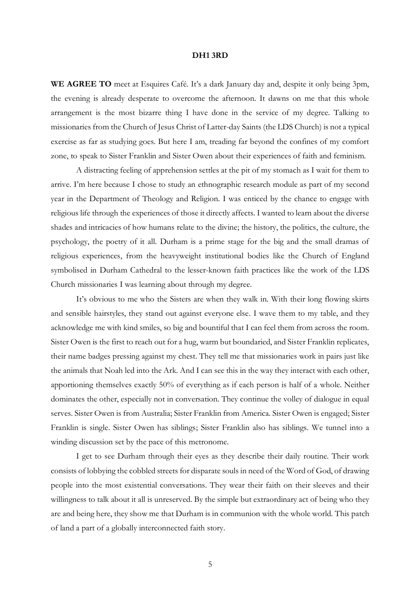## **DH1 3RD**

WE AGREE TO meet at Esquires Café. It's a dark January day and, despite it only being 3pm, the evening is already desperate to overcome the afternoon. It dawns on me that this whole arrangement is the most bizarre thing I have done in the service of my degree. Talking to missionaries from the Church of Jesus Christ of Latter-day Saints (the LDS Church) is not a typical exercise as far as studying goes. But here I am, treading far beyond the confines of my comfort zone, to speak to Sister Franklin and Sister Owen about their experiences of faith and feminism.

A distracting feeling of apprehension settles at the pit of my stomach as I wait for them to arrive. I'm here because I chose to study an ethnographic research module as part of my second year in the Department of Theology and Religion. I was enticed by the chance to engage with religious life through the experiences of those it directly affects. I wanted to learn about the diverse shades and intricacies of how humans relate to the divine; the history, the politics, the culture, the psychology, the poetry of it all. Durham is a prime stage for the big and the small dramas of religious experiences, from the heavyweight institutional bodies like the Church of England symbolised in Durham Cathedral to the lesser-known faith practices like the work of the LDS Church missionaries I was learning about through my degree.

It's obvious to me who the Sisters are when they walk in. With their long flowing skirts and sensible hairstyles, they stand out against everyone else. I wave them to my table, and they acknowledge me with kind smiles, so big and bountiful that I can feel them from across the room. Sister Owen is the first to reach out for a hug, warm but boundaried, and Sister Franklin replicates, their name badges pressing against my chest. They tell me that missionaries work in pairs just like the animals that Noah led into the Ark. And I can see this in the way they interact with each other, apportioning themselves exactly 50% of everything as if each person is half of a whole. Neither dominates the other, especially not in conversation. They continue the volley of dialogue in equal serves. Sister Owen is from Australia; Sister Franklin from America. Sister Owen is engaged; Sister Franklin is single. Sister Owen has siblings; Sister Franklin also has siblings. We tunnel into a winding discussion set by the pace of this metronome.

I get to see Durham through their eyes as they describe their daily routine. Their work consists of lobbying the cobbled streets for disparate souls in need of the Word of God, of drawing people into the most existential conversations. They wear their faith on their sleeves and their willingness to talk about it all is unreserved. By the simple but extraordinary act of being who they are and being here, they show me that Durham is in communion with the whole world. This patch of land a part of a globally interconnected faith story.